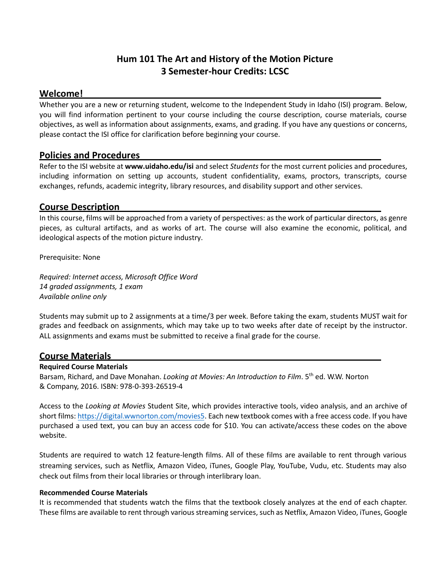# **Hum 101 The Art and History of the Motion Picture 3 Semester-hour Credits: LCSC**

# **Welcome!**

Whether you are a new or returning student, welcome to the Independent Study in Idaho (ISI) program. Below, you will find information pertinent to your course including the course description, course materials, course objectives, as well as information about assignments, exams, and grading. If you have any questions or concerns, please contact the ISI office for clarification before beginning your course.

## **Policies and Procedures**

Refer to the ISI website at **www.uidaho.edu/isi** and select *Students* for the most current policies and procedures, including information on setting up accounts, student confidentiality, exams, proctors, transcripts, course exchanges, refunds, academic integrity, library resources, and disability support and other services.

# **Course Description**

In this course, films will be approached from a variety of perspectives: as the work of particular directors, as genre pieces, as cultural artifacts, and as works of art. The course will also examine the economic, political, and ideological aspects of the motion picture industry.

Prerequisite: None

*Required: Internet access, Microsoft Office Word 14 graded assignments, 1 exam Available online only* 

Students may submit up to 2 assignments at a time/3 per week. Before taking the exam, students MUST wait for grades and feedback on assignments, which may take up to two weeks after date of receipt by the instructor. ALL assignments and exams must be submitted to receive a final grade for the course.

# **Course Materials**

#### **Required Course Materials**

Barsam, Richard, and Dave Monahan. *Looking at Movies: An Introduction to Film*. 5<sup>th</sup> ed. W.W. Norton & Company, 2016. ISBN: 978-0-393-26519-4

Access to the *Looking at Movies* Student Site, which provides interactive tools, video analysis, and an archive of short films[: https://digital.wwnorton.com/movies5.](https://digital.wwnorton.com/movies5) Each new textbook comes with a free access code. If you have purchased a used text, you can buy an access code for \$10. You can activate/access these codes on the above website.

Students are required to watch 12 feature-length films. All of these films are available to rent through various streaming services, such as Netflix, Amazon Video, iTunes, Google Play, YouTube, Vudu, etc. Students may also check out films from their local libraries or through interlibrary loan.

#### **Recommended Course Materials**

It is recommended that students watch the films that the textbook closely analyzes at the end of each chapter. These films are available to rent through various streaming services, such as Netflix, Amazon Video, iTunes, Google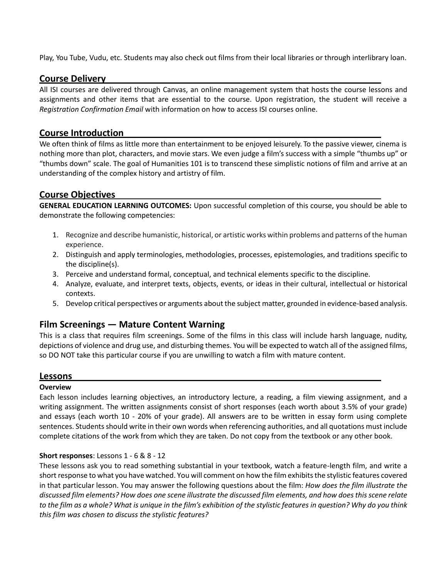Play, You Tube, Vudu, etc. Students may also check out films from their local libraries or through interlibrary loan.

#### **Course Delivery**

All ISI courses are delivered through Canvas, an online management system that hosts the course lessons and assignments and other items that are essential to the course. Upon registration, the student will receive a *Registration Confirmation Email* with information on how to access ISI courses online.

# **Course Introduction**

We often think of films as little more than entertainment to be enjoyed leisurely. To the passive viewer, cinema is nothing more than plot, characters, and movie stars. We even judge a film's success with a simple "thumbs up" or "thumbs down" scale. The goal of Humanities 101 is to transcend these simplistic notions of film and arrive at an understanding of the complex history and artistry of film.

# **Course Objectives**

**GENERAL EDUCATION LEARNING OUTCOMES:** Upon successful completion of this course, you should be able to demonstrate the following competencies:

- 1. Recognize and describe humanistic, historical, or artistic works within problems and patterns of the human experience.
- 2. Distinguish and apply terminologies, methodologies, processes, epistemologies, and traditions specific to the discipline(s).
- 3. Perceive and understand formal, conceptual, and technical elements specific to the discipline.
- 4. Analyze, evaluate, and interpret texts, objects, events, or ideas in their cultural, intellectual or historical contexts.
- 5. Develop critical perspectives or arguments about the subject matter, grounded in evidence-based analysis.

# **Film Screenings — Mature Content Warning**

This is a class that requires film screenings. Some of the films in this class will include harsh language, nudity, depictions of violence and drug use, and disturbing themes. You will be expected to watch all of the assigned films, so DO NOT take this particular course if you are unwilling to watch a film with mature content.

#### **Lessons**

#### **Overview**

Each lesson includes learning objectives, an introductory lecture, a reading, a film viewing assignment, and a writing assignment. The written assignments consist of short responses (each worth about 3.5% of your grade) and essays (each worth 10 - 20% of your grade). All answers are to be written in essay form using complete sentences. Students should write in their own words when referencing authorities, and all quotations must include complete citations of the work from which they are taken. Do not copy from the textbook or any other book.

#### **Short responses**: Lessons 1 - 6 & 8 - 12

These lessons ask you to read something substantial in your textbook, watch a feature-length film, and write a short response to what you have watched. You will comment on how the film exhibits the stylistic features covered in that particular lesson. You may answer the following questions about the film: *How does the film illustrate the discussed film elements? How does one scene illustrate the discussed film elements, and how does this scene relate to the film as a whole? What is unique in the film's exhibition of the stylistic features in question? Why do you think this film was chosen to discuss the stylistic features?*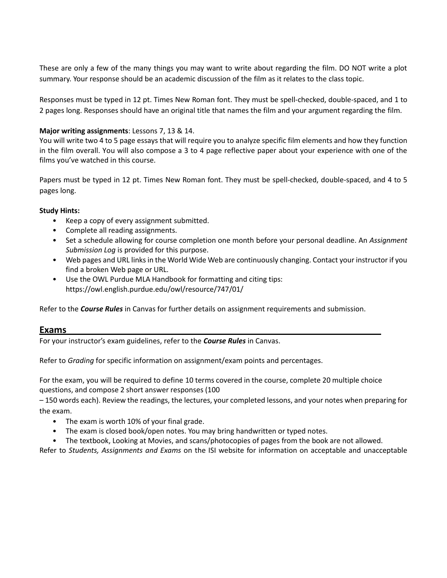These are only a few of the many things you may want to write about regarding the film. DO NOT write a plot summary. Your response should be an academic discussion of the film as it relates to the class topic.

Responses must be typed in 12 pt. Times New Roman font. They must be spell-checked, double-spaced, and 1 to 2 pages long. Responses should have an original title that names the film and your argument regarding the film.

#### **Major writing assignments**: Lessons 7, 13 & 14.

You will write two 4 to 5 page essays that will require you to analyze specific film elements and how they function in the film overall. You will also compose a 3 to 4 page reflective paper about your experience with one of the films you've watched in this course.

Papers must be typed in 12 pt. Times New Roman font. They must be spell-checked, double-spaced, and 4 to 5 pages long.

#### **Study Hints:**

- Keep a copy of every assignment submitted.
- Complete all reading assignments.
- Set a schedule allowing for course completion one month before your personal deadline. An *Assignment Submission Log* is provided for this purpose.
- Web pages and URL links in the World Wide Web are continuously changing. Contact your instructor if you find a broken Web page or URL.
- Use the OWL Purdue MLA Handbook for formatting and citing tips: https://owl.english.purdue.edu/owl/resource/747/01/

Refer to the *Course Rules* in Canvas for further details on assignment requirements and submission.

#### **Exams**

For your instructor's exam guidelines, refer to the *Course Rules* in Canvas.

Refer to *Grading* for specific information on assignment/exam points and percentages.

For the exam, you will be required to define 10 terms covered in the course, complete 20 multiple choice questions, and compose 2 short answer responses (100

– 150 words each). Review the readings, the lectures, your completed lessons, and your notes when preparing for the exam.

- The exam is worth 10% of your final grade.
- The exam is closed book/open notes. You may bring handwritten or typed notes.
- The textbook, Looking at Movies, and scans/photocopies of pages from the book are not allowed.

Refer to *Students, Assignments and Exams* on the ISI website for information on acceptable and unacceptable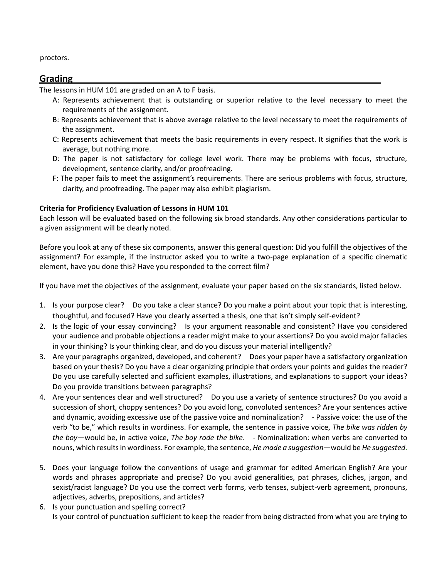proctors.

## **Grading**

The lessons in HUM 101 are graded on an A to F basis.

- A: Represents achievement that is outstanding or superior relative to the level necessary to meet the requirements of the assignment.
- B: Represents achievement that is above average relative to the level necessary to meet the requirements of the assignment.
- C: Represents achievement that meets the basic requirements in every respect. It signifies that the work is average, but nothing more.
- D: The paper is not satisfactory for college level work. There may be problems with focus, structure, development, sentence clarity, and/or proofreading.
- F: The paper fails to meet the assignment's requirements. There are serious problems with focus, structure, clarity, and proofreading. The paper may also exhibit plagiarism.

#### **Criteria for Proficiency Evaluation of Lessons in HUM 101**

Each lesson will be evaluated based on the following six broad standards. Any other considerations particular to a given assignment will be clearly noted.

Before you look at any of these six components, answer this general question: Did you fulfill the objectives of the assignment? For example, if the instructor asked you to write a two-page explanation of a specific cinematic element, have you done this? Have you responded to the correct film?

If you have met the objectives of the assignment, evaluate your paper based on the six standards, listed below.

- 1. Is your purpose clear? Do you take a clear stance? Do you make a point about your topic that is interesting, thoughtful, and focused? Have you clearly asserted a thesis, one that isn't simply self-evident?
- 2. Is the logic of your essay convincing? Is your argument reasonable and consistent? Have you considered your audience and probable objections a reader might make to your assertions? Do you avoid major fallacies in your thinking? Is your thinking clear, and do you discuss your material intelligently?
- 3. Are your paragraphs organized, developed, and coherent? Does your paper have a satisfactory organization based on your thesis? Do you have a clear organizing principle that orders your points and guides the reader? Do you use carefully selected and sufficient examples, illustrations, and explanations to support your ideas? Do you provide transitions between paragraphs?
- 4. Are your sentences clear and well structured? Do you use a variety of sentence structures? Do you avoid a succession of short, choppy sentences? Do you avoid long, convoluted sentences? Are your sentences active and dynamic, avoiding excessive use of the passive voice and nominalization? - Passive voice: the use of the verb "to be," which results in wordiness. For example, the sentence in passive voice, *The bike was ridden by the boy*—would be, in active voice, *The boy rode the bike*. - Nominalization: when verbs are converted to nouns, which results in wordiness. For example, the sentence, *He made a suggestion*—would be *He suggested*.
- 5. Does your language follow the conventions of usage and grammar for edited American English? Are your words and phrases appropriate and precise? Do you avoid generalities, pat phrases, cliches, jargon, and sexist/racist language? Do you use the correct verb forms, verb tenses, subject-verb agreement, pronouns, adjectives, adverbs, prepositions, and articles?
- 6. Is your punctuation and spelling correct? Is your control of punctuation sufficient to keep the reader from being distracted from what you are trying to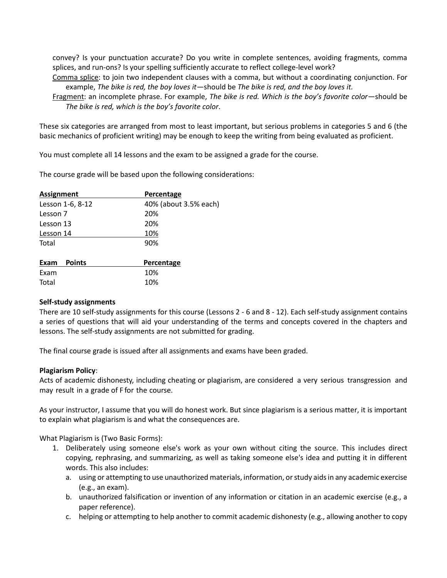convey? Is your punctuation accurate? Do you write in complete sentences, avoiding fragments, comma splices, and run-ons? Is your spelling sufficiently accurate to reflect college-level work?

Comma splice: to join two independent clauses with a comma, but without a coordinating conjunction. For example, *The bike is red, the boy loves it*—should be *The bike is red, and the boy loves it.* 

Fragment: an incomplete phrase. For example, *The bike is red. Which is the boy's favorite color*—should be *The bike is red, which is the boy's favorite color*.

These six categories are arranged from most to least important, but serious problems in categories 5 and 6 (the basic mechanics of proficient writing) may be enough to keep the writing from being evaluated as proficient.

You must complete all 14 lessons and the exam to be assigned a grade for the course.

The course grade will be based upon the following considerations:

| <b>Assignment</b> | Percentage            |  |
|-------------------|-----------------------|--|
| Lesson 1-6, 8-12  | 40% (about 3.5% each) |  |
| Lesson 7          | 20%                   |  |
| Lesson 13         | 20%                   |  |
| Lesson 14         | 10%                   |  |
| Total             | 90%                   |  |
|                   |                       |  |
|                   |                       |  |

| Exam Points |  | Percentage |  |
|-------------|--|------------|--|
| Exam        |  | 10%        |  |
| Total       |  | 10%        |  |

#### **Self-study assignments**

There are 10 self-study assignments for this course (Lessons 2 - 6 and 8 - 12). Each self-study assignment contains a series of questions that will aid your understanding of the terms and concepts covered in the chapters and lessons. The self-study assignments are not submitted for grading.

The final course grade is issued after all assignments and exams have been graded.

#### **Plagiarism Policy**:

Acts of academic dishonesty, including cheating or plagiarism, are considered a very serious transgression and may result in a grade of F for the course.

As your instructor, I assume that you will do honest work. But since plagiarism is a serious matter, it is important to explain what plagiarism is and what the consequences are.

What Plagiarism is (Two Basic Forms):

- 1. Deliberately using someone else's work as your own without citing the source. This includes direct copying, rephrasing, and summarizing, as well as taking someone else's idea and putting it in different words. This also includes:
	- a. using or attempting to use unauthorized materials, information, or study aids in any academic exercise (e.g., an exam).
	- b. unauthorized falsification or invention of any information or citation in an academic exercise (e.g., a paper reference).
	- c. helping or attempting to help another to commit academic dishonesty (e.g., allowing another to copy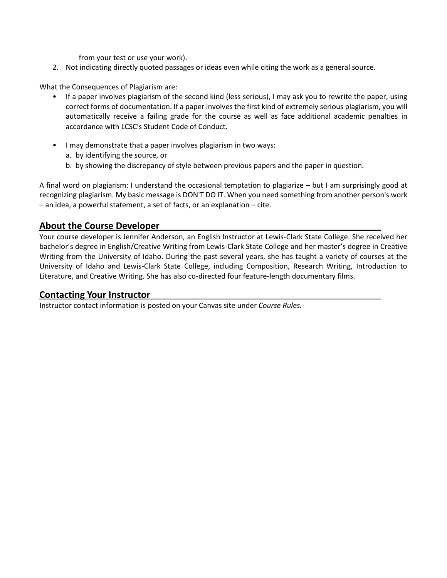from your test or use your work).

2. Not indicating directly quoted passages or ideas even while citing the work as a general source.

What the Consequences of Plagiarism are:

- If a paper involves plagiarism of the second kind (less serious), I may ask you to rewrite the paper, using correct forms of documentation. If a paper involves the first kind of extremely serious plagiarism, you will automatically receive a failing grade for the course as well as face additional academic penalties in accordance with LCSC's Student Code of Conduct.
- I may demonstrate that a paper involves plagiarism in two ways:
	- a. by identifying the source, or
	- b. by showing the discrepancy of style between previous papers and the paper in question.

A final word on plagiarism: I understand the occasional temptation to plagiarize – but I am surprisingly good at recognizing plagiarism. My basic message is DON'T DO IT. When you need something from another person's work – an idea, a powerful statement, a set of facts, or an explanation – cite.

# **About the Course Developer**

Your course developer is Jennifer Anderson, an English Instructor at Lewis-Clark State College. She received her bachelor's degree in English/Creative Writing from Lewis-Clark State College and her master's degree in Creative Writing from the University of Idaho. During the past several years, she has taught a variety of courses at the University of Idaho and Lewis-Clark State College, including Composition, Research Writing, Introduction to Literature, and Creative Writing. She has also co-directed four feature-length documentary films.

# **Contacting Your Instructor**

Instructor contact information is posted on your Canvas site under *Course Rules.*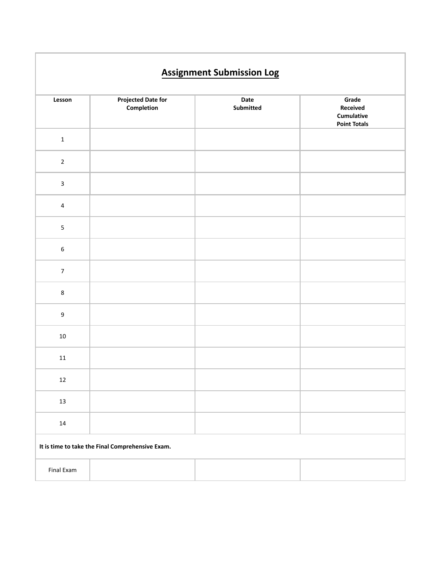# **Lesson Projected Date for Completion Date Submitted Grade Received Cumulative Point Totals**

1

2

| $\mathbf{3}$                                     |  |  |  |  |
|--------------------------------------------------|--|--|--|--|
|                                                  |  |  |  |  |
| $\overline{4}$                                   |  |  |  |  |
| $\overline{5}$                                   |  |  |  |  |
| $\sf 6$                                          |  |  |  |  |
| $\overline{7}$                                   |  |  |  |  |
| $\bf 8$                                          |  |  |  |  |
| $\boldsymbol{9}$                                 |  |  |  |  |
| $10\,$                                           |  |  |  |  |
| $11\,$                                           |  |  |  |  |
| $12\,$                                           |  |  |  |  |
| $13\,$                                           |  |  |  |  |
| $14\,$                                           |  |  |  |  |
| It is time to take the Final Comprehensive Exam. |  |  |  |  |
| Final Exam                                       |  |  |  |  |
|                                                  |  |  |  |  |

# **Assignment Submission Log**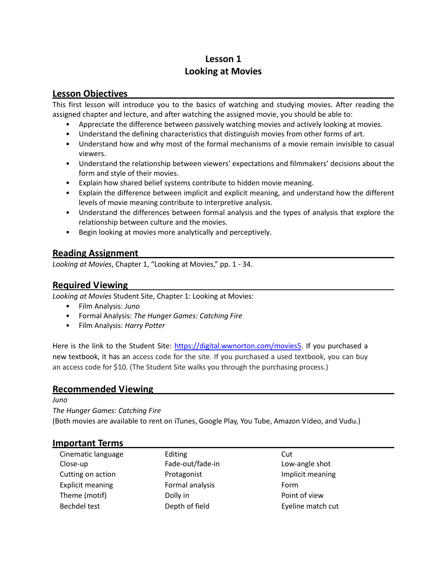# **Lesson 1 Looking at Movies**

# **Lesson Objectives**

This first lesson will introduce you to the basics of watching and studying movies. After reading the assigned chapter and lecture, and after watching the assigned movie, you should be able to:

- Appreciate the difference between passively watching movies and actively looking at movies.
- Understand the defining characteristics that distinguish movies from other forms of art.
- Understand how and why most of the formal mechanisms of a movie remain invisible to casual viewers.
- Understand the relationship between viewers' expectations and filmmakers' decisions about the form and style of their movies.
- Explain how shared belief systems contribute to hidden movie meaning.
- Explain the difference between implicit and explicit meaning, and understand how the different levels of movie meaning contribute to interpretive analysis.
- Understand the differences between formal analysis and the types of analysis that explore the relationship between culture and the movies.
- Begin looking at movies more analytically and perceptively.

# **Reading Assignment**

*Looking at Movies*, Chapter 1, "Looking at Movies," pp. 1 - 34.

# **Required Viewing**

*Looking at Movies* Student Site, Chapter 1: Looking at Movies:

- Film Analysis: *Juno*
- Formal Analysis: *The Hunger Games: Catching Fire*
- Film Analysis: *Harry Potter*

Here is the link to the Student Site: [https://digital.wwnorton.com/movies5.](https://digital.wwnorton.com/movies5) If you purchased a new textbook, it has an access code for the site. If you purchased a used textbook, you can buy an access code for \$10. (The Student Site walks you through the purchasing process.)

#### **Recommended Viewing**

*Juno* 

*The Hunger Games: Catching Fire*

(Both movies are available to rent on iTunes, Google Play, You Tube, Amazon Video, and Vudu.)

# **Important Terms**

| Cinematic language      | Editing          | Cut               |
|-------------------------|------------------|-------------------|
| Close-up                | Fade-out/fade-in | Low-angle shot    |
| Cutting on action       | Protagonist      | Implicit meaning  |
| <b>Explicit meaning</b> | Formal analysis  | Form              |
| Theme (motif)           | Dolly in         | Point of view     |
| Bechdel test            | Depth of field   | Eyeline match cut |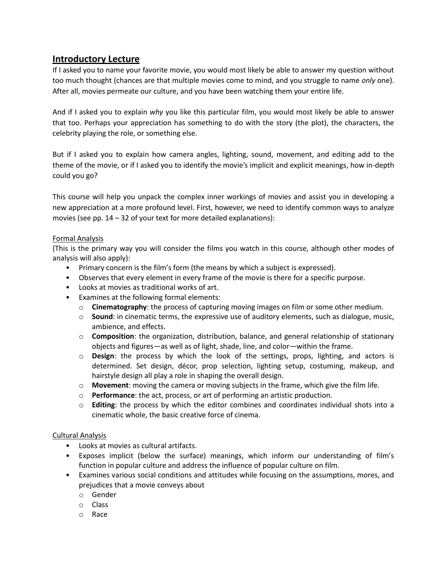# **Introductory Lecture**

If I asked you to name your favorite movie, you would most likely be able to answer my question without too much thought (chances are that multiple movies come to mind, and you struggle to name *only* one). After all, movies permeate our culture, and you have been watching them your entire life.

And if I asked you to explain *why* you like this particular film, you would most likely be able to answer that too. Perhaps your appreciation has something to do with the story (the plot), the characters, the celebrity playing the role, or something else.

But if I asked you to explain how camera angles, lighting, sound, movement, and editing add to the theme of the movie, or if I asked you to identify the movie's implicit and explicit meanings, how in-depth could you go?

This course will help you unpack the complex inner workings of movies and assist you in developing a new appreciation at a more profound level. First, however, we need to identify common ways to analyze movies (see pp. 14 – 32 of your text for more detailed explanations):

#### Formal Analysis

(This is the primary way you will consider the films you watch in this course, although other modes of analysis will also apply):

- Primary concern is the film's form (the means by which a subject is expressed).
- Observes that every element in every frame of the movie is there for a specific purpose.
- Looks at movies as traditional works of art.
- Examines at the following formal elements:
	- o **Cinematography**: the process of capturing moving images on film or some other medium.
	- o **Sound**: in cinematic terms, the expressive use of auditory elements, such as dialogue, music, ambience, and effects.
	- o **Composition**: the organization, distribution, balance, and general relationship of stationary objects and figures—as well as of light, shade, line, and color—within the frame.
	- o **Design**: the process by which the look of the settings, props, lighting, and actors is determined. Set design, décor, prop selection, lighting setup, costuming, makeup, and hairstyle design all play a role in shaping the overall design.
	- o **Movement**: moving the camera or moving subjects in the frame, which give the film life.
	- o **Performance**: the act, process, or art of performing an artistic production.
	- o **Editing**: the process by which the editor combines and coordinates individual shots into a cinematic whole, the basic creative force of cinema.

#### Cultural Analysis

- Looks at movies as cultural artifacts.
- Exposes implicit (below the surface) meanings, which inform our understanding of film's function in popular culture and address the influence of popular culture on film.
- Examines various social conditions and attitudes while focusing on the assumptions, mores, and prejudices that a movie conveys about
	- o Gender
	- o Class
	- o Race